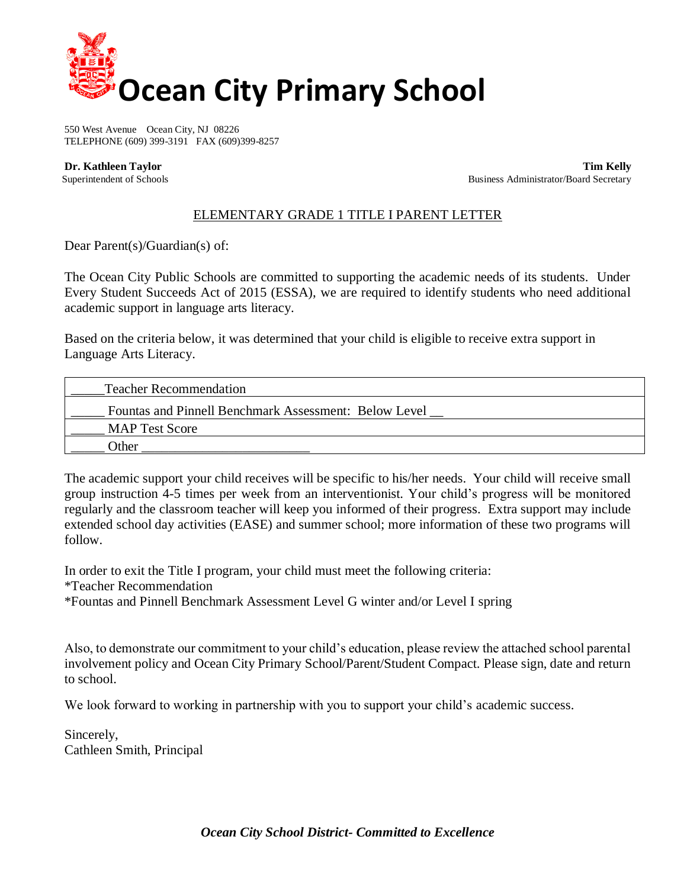

550 West Avenue Ocean City, NJ 08226 TELEPHONE (609) 399-3191 FAX (609)399-8257

 **Dr. Kathleen Taylor Tim Kelly** Superintendent of Schools **Business Administrator/Board Secretary Business Administrator/Board Secretary** 

## ELEMENTARY GRADE 1 TITLE I PARENT LETTER

Dear Parent(s)/Guardian(s) of:

The Ocean City Public Schools are committed to supporting the academic needs of its students. Under Every Student Succeeds Act of 2015 (ESSA), we are required to identify students who need additional academic support in language arts literacy.

Based on the criteria below, it was determined that your child is eligible to receive extra support in Language Arts Literacy.

| <b>Teacher Recommendation</b>                         |
|-------------------------------------------------------|
| Fountas and Pinnell Benchmark Assessment: Below Level |
| <b>MAP Test Score</b>                                 |
| Other                                                 |

The academic support your child receives will be specific to his/her needs. Your child will receive small group instruction 4-5 times per week from an interventionist. Your child's progress will be monitored regularly and the classroom teacher will keep you informed of their progress. Extra support may include extended school day activities (EASE) and summer school; more information of these two programs will follow.

In order to exit the Title I program, your child must meet the following criteria: \*Teacher Recommendation \*Fountas and Pinnell Benchmark Assessment Level G winter and/or Level I spring

Also, to demonstrate our commitment to your child's education, please review the attached school parental involvement policy and Ocean City Primary School/Parent/Student Compact. Please sign, date and return to school.

We look forward to working in partnership with you to support your child's academic success.

Sincerely, Cathleen Smith, Principal